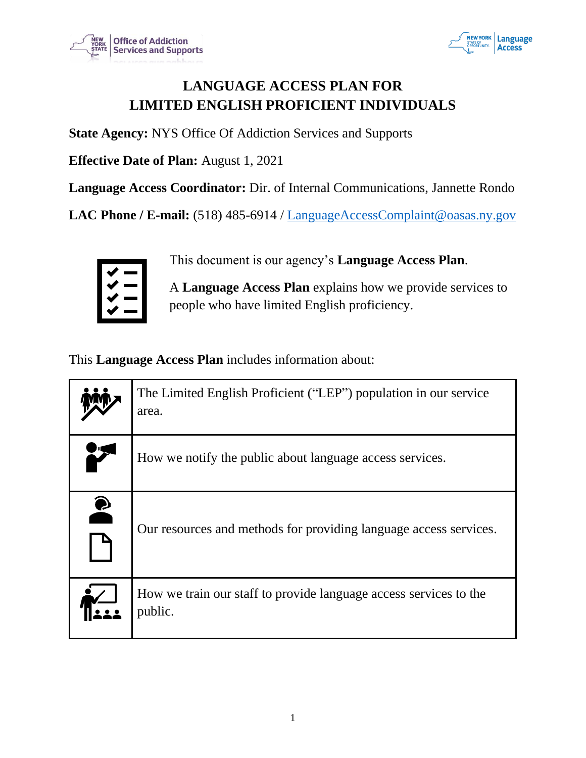



# **LANGUAGE ACCESS PLAN FOR LIMITED ENGLISH PROFICIENT INDIVIDUALS**

**State Agency:** NYS Office Of Addiction Services and Supports

**Effective Date of Plan:** August 1, 2021

**Language Access Coordinator:** Dir. of Internal Communications, Jannette Rondo

**LAC Phone / E-mail:** (518) 485-6914 / LanguageAccessComplaint@oasas.ny.gov



This document is our agency's **Language Access Plan**.

A **Language Access Plan** explains how we provide services to people who have limited English proficiency.

This **Language Access Plan** includes information about:

|           | The Limited English Proficient ("LEP") population in our service<br>area.    |
|-----------|------------------------------------------------------------------------------|
|           | How we notify the public about language access services.                     |
| $\bullet$ | Our resources and methods for providing language access services.            |
|           | How we train our staff to provide language access services to the<br>public. |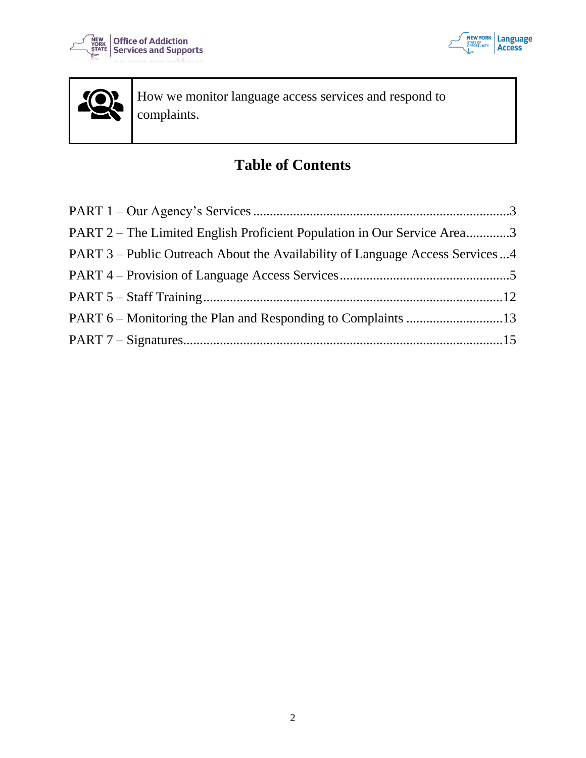





How we monitor language access services and respond to complaints.

# **Table of Contents**

| PART 2 – The Limited English Proficient Population in Our Service Area3      |  |
|------------------------------------------------------------------------------|--|
| PART 3 – Public Outreach About the Availability of Language Access Services4 |  |
|                                                                              |  |
|                                                                              |  |
|                                                                              |  |
|                                                                              |  |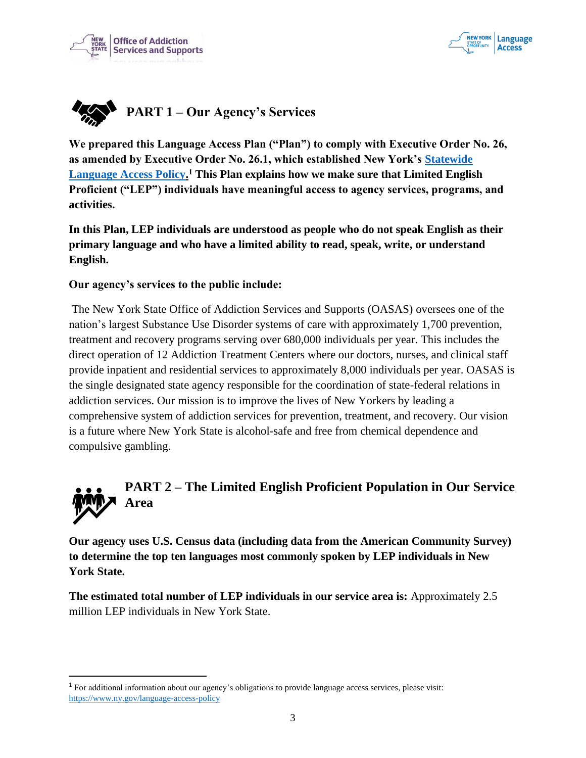



<span id="page-2-0"></span>

**We prepared this Language Access Plan ("Plan") to comply with Executive Order No. 26, as amended by Executive Order No. 26.1, which established New York's Statewide Language Access Policy. <sup>1</sup> This Plan explains how we make sure that Limited English Proficient ("LEP") individuals have meaningful access to agency services, programs, and activities.**

**In this Plan, LEP individuals are understood as people who do not speak English as their primary language and who have a limited ability to read, speak, write, or understand English.** 

#### **Our agency's services to the public include:**

The New York State Office of Addiction Services and Supports (OASAS) oversees one of the nation's largest Substance Use Disorder systems of care with approximately 1,700 prevention, treatment and recovery programs serving over 680,000 individuals per year. This includes the direct operation of 12 Addiction Treatment Centers where our doctors, nurses, and clinical staff provide inpatient and residential services to approximately 8,000 individuals per year. OASAS is the single designated state agency responsible for the coordination of state-federal relations in addiction services. Our mission is to improve the lives of New Yorkers by leading a comprehensive system of addiction services for prevention, treatment, and recovery. Our vision is a future where New York State is alcohol-safe and free from chemical dependence and compulsive gambling.

<span id="page-2-1"></span>

**Our agency uses U.S. Census data (including data from the American Community Survey) to determine the top ten languages most commonly spoken by LEP individuals in New York State.** 

**The estimated total number of LEP individuals in our service area is:** Approximately 2.5 million LEP individuals in New York State.

<sup>1</sup> For additional information about our agency's obligations to provide language access services, please visit: https://www.ny.gov/language-access-policy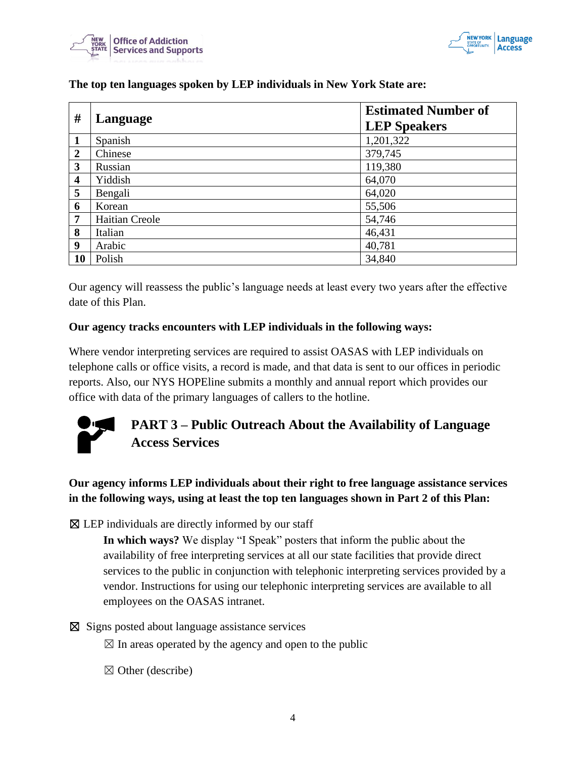



| #              | Language       | <b>Estimated Number of</b><br><b>LEP Speakers</b> |
|----------------|----------------|---------------------------------------------------|
|                | Spanish        | 1,201,322                                         |
| $\overline{2}$ | Chinese        | 379,745                                           |
| 3              | Russian        | 119,380                                           |
| 4              | Yiddish        | 64,070                                            |
| 5              | Bengali        | 64,020                                            |
| 6              | Korean         | 55,506                                            |
| 7              | Haitian Creole | 54,746                                            |
| 8              | Italian        | 46,431                                            |
| 9              | Arabic         | 40,781                                            |
| <b>10</b>      | Polish         | 34,840                                            |

#### **The top ten languages spoken by LEP individuals in New York State are:**

Our agency will reassess the public's language needs at least every two years after the effective date of this Plan.

#### **Our agency tracks encounters with LEP individuals in the following ways:**

Where vendor interpreting services are required to assist OASAS with LEP individuals on telephone calls or office visits, a record is made, and that data is sent to our offices in periodic reports. Also, our NYS HOPEline submits a monthly and annual report which provides our office with data of the primary languages of callers to the hotline.



# <span id="page-3-0"></span>**PART 3 – Public Outreach About the Availability of Language Access Services**

**Our agency informs LEP individuals about their right to free language assistance services in the following ways, using at least the top ten languages shown in Part 2 of this Plan:**

 $\boxtimes$  LEP individuals are directly informed by our staff

**In which ways?** We display "I Speak" posters that inform the public about the availability of free interpreting services at all our state facilities that provide direct services to the public in conjunction with telephonic interpreting services provided by a vendor. Instructions for using our telephonic interpreting services are available to all employees on the OASAS intranet.

#### ☒ Signs posted about language assistance services

 $\boxtimes$  In areas operated by the agency and open to the public

 $\boxtimes$  Other (describe)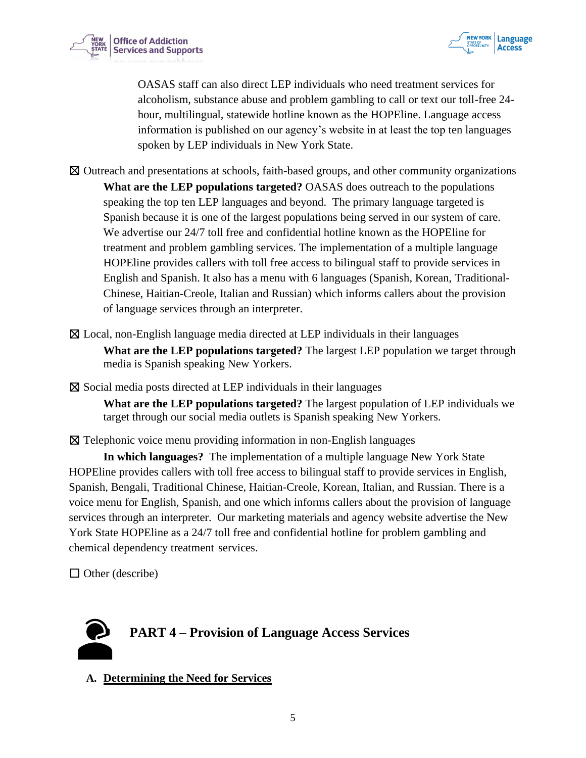



OASAS staff can also direct LEP individuals who need treatment services for alcoholism, substance abuse and problem gambling to call or text our toll-free 24 hour, multilingual, statewide hotline known as the HOPEline. Language access information is published on our agency's website in at least the top ten languages spoken by LEP individuals in New York State.

- ☒ Outreach and presentations at schools, faith-based groups, and other community organizations **What are the LEP populations targeted?** OASAS does outreach to the populations speaking the top ten LEP languages and beyond. The primary language targeted is Spanish because it is one of the largest populations being served in our system of care. We advertise our 24/7 toll free and confidential hotline known as the HOPEline for treatment and problem gambling services. The implementation of a multiple language HOPEline provides callers with toll free access to bilingual staff to provide services in English and Spanish. It also has a menu with 6 languages (Spanish, Korean, Traditional-Chinese, Haitian-Creole, Italian and Russian) which informs callers about the provision of language services through an interpreter.
- ☒ Local, non-English language media directed at LEP individuals in their languages **What are the LEP populations targeted?** The largest LEP population we target through media is Spanish speaking New Yorkers.
- $\boxtimes$  Social media posts directed at LEP individuals in their languages
	- **What are the LEP populations targeted?** The largest population of LEP individuals we target through our social media outlets is Spanish speaking New Yorkers.
- $\boxtimes$  Telephonic voice menu providing information in non-English languages

**In which languages?** The implementation of a multiple language New York State HOPEline provides callers with toll free access to bilingual staff to provide services in English, Spanish, Bengali, Traditional Chinese, Haitian-Creole, Korean, Italian, and Russian. There is a voice menu for English, Spanish, and one which informs callers about the provision of language services through an interpreter. Our marketing materials and agency website advertise the New York State HOPEline as a 24/7 toll free and confidential hotline for problem gambling and chemical dependency treatment services.

 $\Box$  Other (describe)

<span id="page-4-0"></span>

**A. Determining the Need for Services**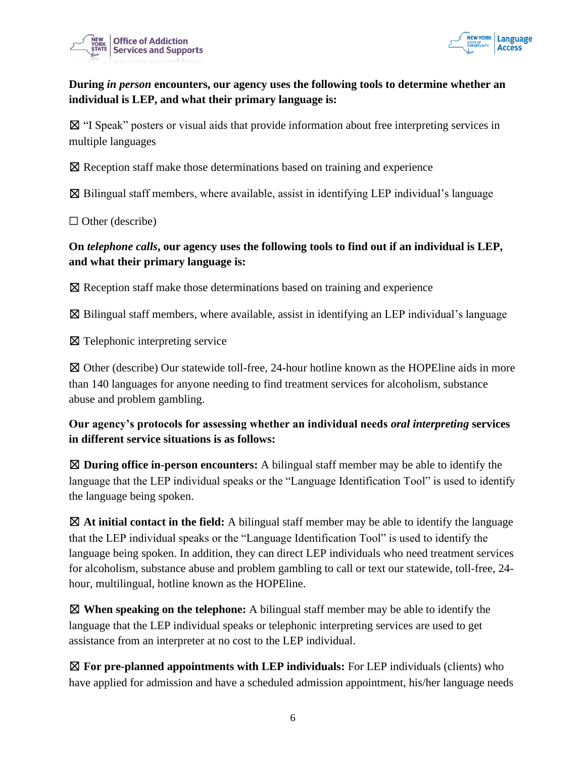



# **During** *in person* **encounters, our agency uses the following tools to determine whether an individual is LEP, and what their primary language is:**

☒ "I Speak" posters or visual aids that provide information about free interpreting services in multiple languages

☒ Reception staff make those determinations based on training and experience

 $\boxtimes$  Bilingual staff members, where available, assist in identifying LEP individual's language

 $\Box$  Other (describe)

# **On** *telephone calls***, our agency uses the following tools to find out if an individual is LEP, and what their primary language is:**

☒ Reception staff make those determinations based on training and experience

 $\boxtimes$  Bilingual staff members, where available, assist in identifying an LEP individual's language

☒ Telephonic interpreting service

☒ Other (describe) Our statewide toll-free, 24-hour hotline known as the HOPEline aids in more than 140 languages for anyone needing to find treatment services for alcoholism, substance abuse and problem gambling.

# **Our agency's protocols for assessing whether an individual needs** *oral interpreting* **services in different service situations is as follows:**

☒ **During office in-person encounters:** A bilingual staff member may be able to identify the language that the LEP individual speaks or the "Language Identification Tool" is used to identify the language being spoken.

☒ **At initial contact in the field:** A bilingual staff member may be able to identify the language that the LEP individual speaks or the "Language Identification Tool" is used to identify the language being spoken. In addition, they can direct LEP individuals who need treatment services for alcoholism, substance abuse and problem gambling to call or text our statewide, toll-free, 24 hour, multilingual, hotline known as the HOPEline.

☒ **When speaking on the telephone:** A bilingual staff member may be able to identify the language that the LEP individual speaks or telephonic interpreting services are used to get assistance from an interpreter at no cost to the LEP individual.

☒ **For pre-planned appointments with LEP individuals:** For LEP individuals (clients) who have applied for admission and have a scheduled admission appointment, his/her language needs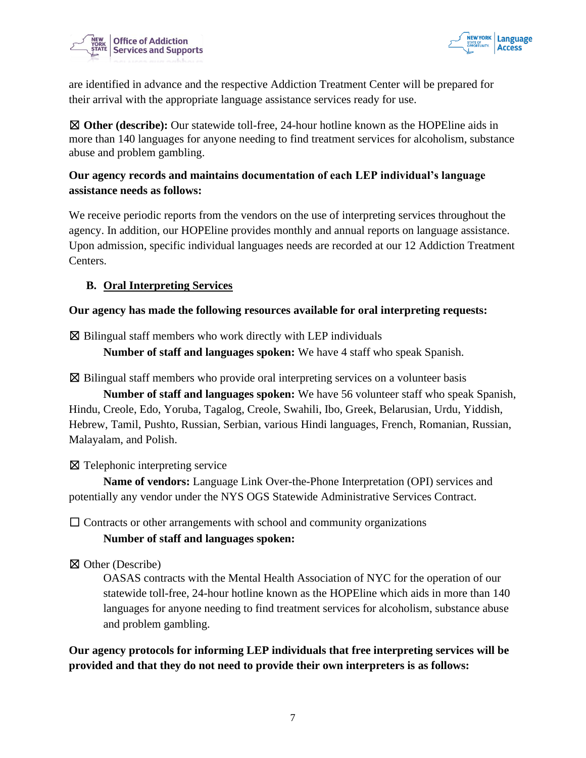



are identified in advance and the respective Addiction Treatment Center will be prepared for their arrival with the appropriate language assistance services ready for use.

☒ **Other (describe):** Our statewide toll-free, 24-hour hotline known as the HOPEline aids in more than 140 languages for anyone needing to find treatment services for alcoholism, substance abuse and problem gambling.

# **Our agency records and maintains documentation of each LEP individual's language assistance needs as follows:**

We receive periodic reports from the vendors on the use of interpreting services throughout the agency. In addition, our HOPEline provides monthly and annual reports on language assistance. Upon admission, specific individual languages needs are recorded at our 12 Addiction Treatment Centers.

# **B. Oral Interpreting Services**

#### **Our agency has made the following resources available for oral interpreting requests:**

 $\boxtimes$  Bilingual staff members who work directly with LEP individuals

**Number of staff and languages spoken:** We have 4 staff who speak Spanish.

 $\boxtimes$  Bilingual staff members who provide oral interpreting services on a volunteer basis

**Number of staff and languages spoken:** We have 56 volunteer staff who speak Spanish, Hindu, Creole, Edo, Yoruba, Tagalog, Creole, Swahili, Ibo, Greek, Belarusian, Urdu, Yiddish, Hebrew, Tamil, Pushto, Russian, Serbian, various Hindi languages, French, Romanian, Russian, Malayalam, and Polish.

☒ Telephonic interpreting service

**Name of vendors:** Language Link Over-the-Phone Interpretation (OPI) services and potentially any vendor under the NYS OGS Statewide Administrative Services Contract.

 $\Box$  Contracts or other arrangements with school and community organizations

#### **Number of staff and languages spoken:**

☒ Other (Describe)

OASAS contracts with the Mental Health Association of NYC for the operation of our statewide toll-free, 24-hour hotline known as the HOPEline which aids in more than 140 languages for anyone needing to find treatment services for alcoholism, substance abuse and problem gambling.

**Our agency protocols for informing LEP individuals that free interpreting services will be provided and that they do not need to provide their own interpreters is as follows:**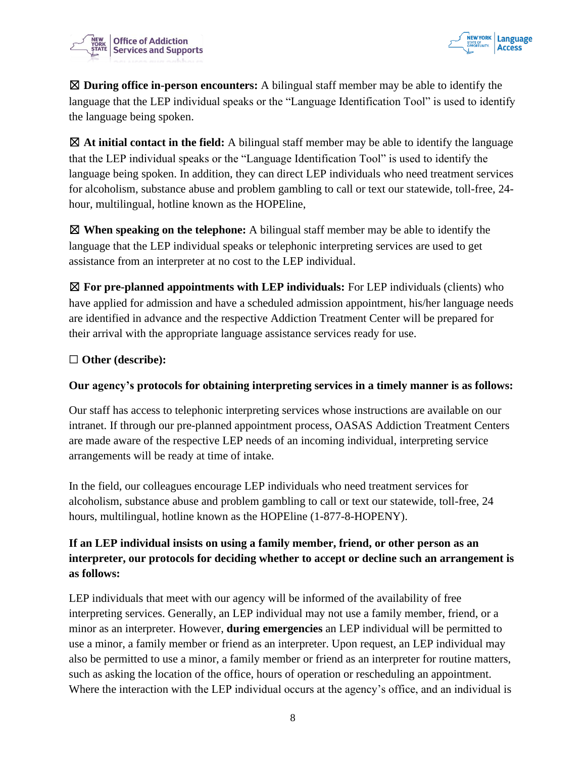



☒ **During office in-person encounters:** A bilingual staff member may be able to identify the language that the LEP individual speaks or the "Language Identification Tool" is used to identify the language being spoken.

☒ **At initial contact in the field:** A bilingual staff member may be able to identify the language that the LEP individual speaks or the "Language Identification Tool" is used to identify the language being spoken. In addition, they can direct LEP individuals who need treatment services for alcoholism, substance abuse and problem gambling to call or text our statewide, toll-free, 24 hour, multilingual, hotline known as the HOPEline,

☒ **When speaking on the telephone:** A bilingual staff member may be able to identify the language that the LEP individual speaks or telephonic interpreting services are used to get assistance from an interpreter at no cost to the LEP individual.

☒ **For pre-planned appointments with LEP individuals:** For LEP individuals (clients) who have applied for admission and have a scheduled admission appointment, his/her language needs are identified in advance and the respective Addiction Treatment Center will be prepared for their arrival with the appropriate language assistance services ready for use.

#### ☐ **Other (describe):**

## **Our agency's protocols for obtaining interpreting services in a timely manner is as follows:**

Our staff has access to telephonic interpreting services whose instructions are available on our intranet. If through our pre-planned appointment process, OASAS Addiction Treatment Centers are made aware of the respective LEP needs of an incoming individual, interpreting service arrangements will be ready at time of intake.

In the field, our colleagues encourage LEP individuals who need treatment services for alcoholism, substance abuse and problem gambling to call or text our statewide, toll-free, 24 hours, multilingual, hotline known as the HOPEline (1-877-8-HOPENY).

# **If an LEP individual insists on using a family member, friend, or other person as an interpreter, our protocols for deciding whether to accept or decline such an arrangement is as follows:**

LEP individuals that meet with our agency will be informed of the availability of free interpreting services. Generally, an LEP individual may not use a family member, friend, or a minor as an interpreter. However, **during emergencies** an LEP individual will be permitted to use a minor, a family member or friend as an interpreter. Upon request, an LEP individual may also be permitted to use a minor, a family member or friend as an interpreter for routine matters, such as asking the location of the office, hours of operation or rescheduling an appointment. Where the interaction with the LEP individual occurs at the agency's office, and an individual is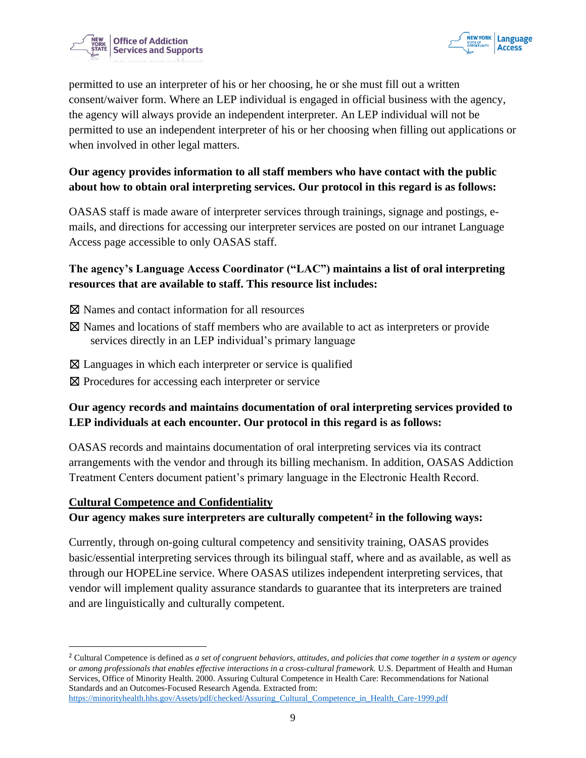



permitted to use an interpreter of his or her choosing, he or she must fill out a written consent/waiver form. Where an LEP individual is engaged in official business with the agency, the agency will always provide an independent interpreter. An LEP individual will not be permitted to use an independent interpreter of his or her choosing when filling out applications or when involved in other legal matters.

# **Our agency provides information to all staff members who have contact with the public about how to obtain oral interpreting services. Our protocol in this regard is as follows:**

OASAS staff is made aware of interpreter services through trainings, signage and postings, emails, and directions for accessing our interpreter services are posted on our intranet Language Access page accessible to only OASAS staff.

# **The agency's Language Access Coordinator ("LAC") maintains a list of oral interpreting resources that are available to staff. This resource list includes:**

- ☒ Names and contact information for all resources
- ☒ Names and locations of staff members who are available to act as interpreters or provide services directly in an LEP individual's primary language
- $\boxtimes$  Languages in which each interpreter or service is qualified
- ⊠ Procedures for accessing each interpreter or service

# **Our agency records and maintains documentation of oral interpreting services provided to LEP individuals at each encounter. Our protocol in this regard is as follows:**

OASAS records and maintains documentation of oral interpreting services via its contract arrangements with the vendor and through its billing mechanism. In addition, OASAS Addiction Treatment Centers document patient's primary language in the Electronic Health Record.

#### **Cultural Competence and Confidentiality**

#### **Our agency makes sure interpreters are culturally competent<sup>2</sup> in the following ways:**

Currently, through on-going cultural competency and sensitivity training, OASAS provides basic/essential interpreting services through its bilingual staff, where and as available, as well as through our HOPELine service. Where OASAS utilizes independent interpreting services, that vendor will implement quality assurance standards to guarantee that its interpreters are trained and are linguistically and culturally competent.

<sup>2</sup> Cultural Competence is defined as *a set of congruent behaviors, attitudes, and policies that come together in a system or agency or among professionals that enables effective interactions in a cross-cultural framework.* U.S. Department of Health and Human Services, Office of Minority Health. 2000. Assuring Cultural Competence in Health Care: Recommendations for National Standards and an Outcomes-Focused Research Agenda. Extracted from: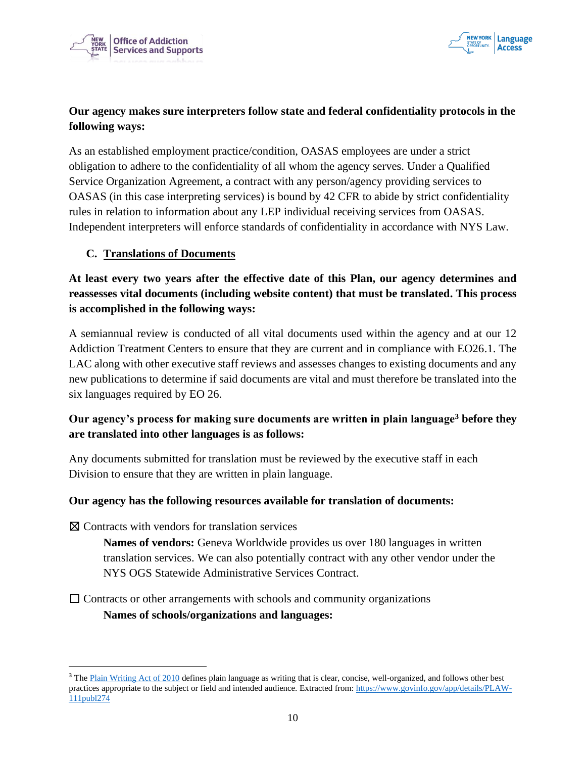



# **Our agency makes sure interpreters follow state and federal confidentiality protocols in the following ways:**

As an established employment practice/condition, OASAS employees are under a strict obligation to adhere to the confidentiality of all whom the agency serves. Under a Qualified Service Organization Agreement, a contract with any person/agency providing services to OASAS (in this case interpreting services) is bound by 42 CFR to abide by strict confidentiality rules in relation to information about any LEP individual receiving services from OASAS. Independent interpreters will enforce standards of confidentiality in accordance with NYS Law.

#### **C. Translations of Documents**

# **At least every two years after the effective date of this Plan, our agency determines and reassesses vital documents (including website content) that must be translated. This process is accomplished in the following ways:**

A semiannual review is conducted of all vital documents used within the agency and at our 12 Addiction Treatment Centers to ensure that they are current and in compliance with EO26.1. The LAC along with other executive staff reviews and assesses changes to existing documents and any new publications to determine if said documents are vital and must therefore be translated into the six languages required by EO 26.

# **Our agency's process for making sure documents are written in plain language<sup>3</sup> before they are translated into other languages is as follows:**

Any documents submitted for translation must be reviewed by the executive staff in each Division to ensure that they are written in plain language.

#### **Our agency has the following resources available for translation of documents:**

 $\boxtimes$  Contracts with vendors for translation services

**Names of vendors:** Geneva Worldwide provides us over 180 languages in written translation services. We can also potentially contract with any other vendor under the NYS OGS Statewide Administrative Services Contract.

 $\Box$  Contracts or other arrangements with schools and community organizations **Names of schools/organizations and languages:**

<sup>&</sup>lt;sup>3</sup> The Plain Writing Act of 2010 defines plain language as writing that is clear, concise, well-organized, and follows other best practices appropriate to the subject or field and intended audience. Extracted from: https://www.govinfo.gov/app/details/PLAW-111publ274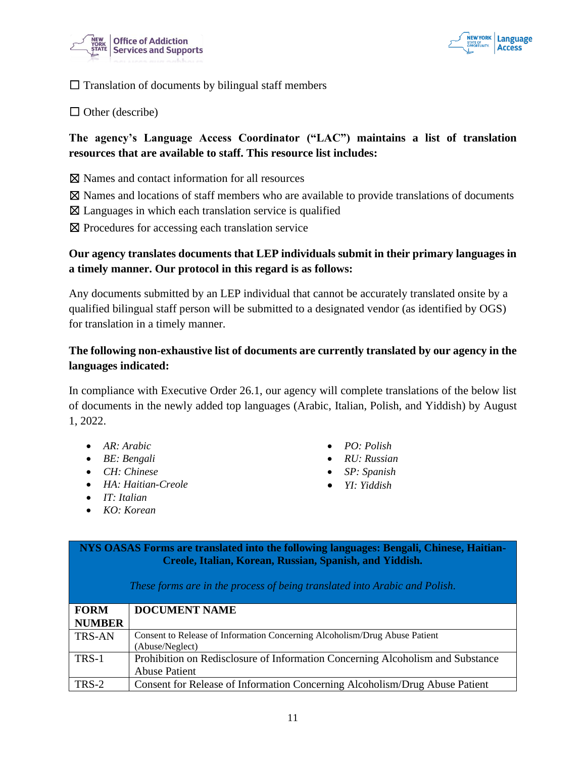



 $\Box$  Translation of documents by bilingual staff members

 $\Box$  Other (describe)

# **The agency's Language Access Coordinator ("LAC") maintains a list of translation resources that are available to staff. This resource list includes:**

- ☒ Names and contact information for all resources
- ☒ Names and locations of staff members who are available to provide translations of documents
- $\boxtimes$  Languages in which each translation service is qualified
- ⊠ Procedures for accessing each translation service

#### **Our agency translates documents that LEP individuals submit in their primary languages in a timely manner. Our protocol in this regard is as follows:**

Any documents submitted by an LEP individual that cannot be accurately translated onsite by a qualified bilingual staff person will be submitted to a designated vendor (as identified by OGS) for translation in a timely manner.

# **The following non-exhaustive list of documents are currently translated by our agency in the languages indicated:**

In compliance with Executive Order 26.1, our agency will complete translations of the below list of documents in the newly added top languages (Arabic, Italian, Polish, and Yiddish) by August 1, 2022.

- *AR: Arabic*
- *BE: Bengali*
- *CH: Chinese*
- *HA: Haitian-Creole*
- *IT: Italian*
- *KO: Korean*
- *PO: Polish*
- *RU: Russian*
- *SP: Spanish*
- *YI: Yiddish*

**NYS OASAS Forms are translated into the following languages: Bengali, Chinese, Haitian-Creole, Italian, Korean, Russian, Spanish, and Yiddish.**

| <b>FORM</b>   | <b>DOCUMENT NAME</b>                                                           |
|---------------|--------------------------------------------------------------------------------|
| <b>NUMBER</b> |                                                                                |
| <b>TRS-AN</b> | Consent to Release of Information Concerning Alcoholism/Drug Abuse Patient     |
|               | (Abuse/Neglect)                                                                |
| TRS-1         | Prohibition on Redisclosure of Information Concerning Alcoholism and Substance |
|               | <b>Abuse Patient</b>                                                           |
| TRS-2         | Consent for Release of Information Concerning Alcoholism/Drug Abuse Patient    |

#### *These forms are in the process of being translated into Arabic and Polish.*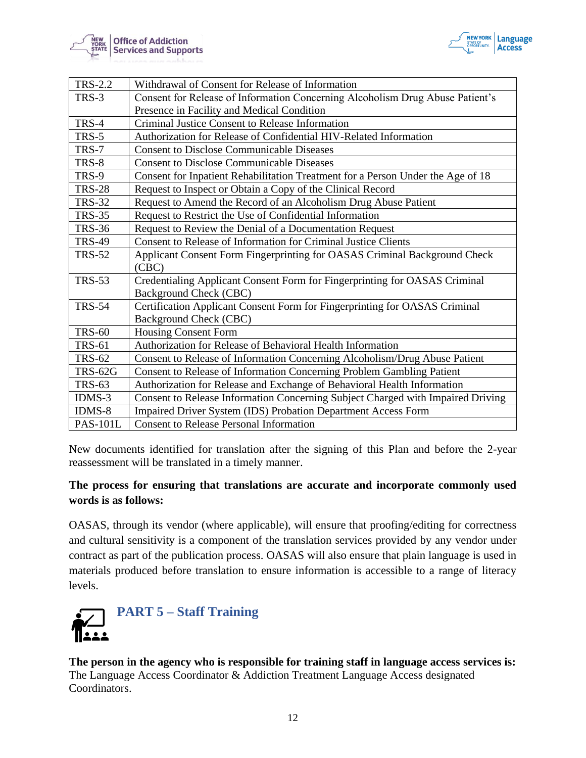



| <b>TRS-2.2</b>  | Withdrawal of Consent for Release of Information                                                     |
|-----------------|------------------------------------------------------------------------------------------------------|
| TRS-3           | Consent for Release of Information Concerning Alcoholism Drug Abuse Patient's                        |
|                 | Presence in Facility and Medical Condition                                                           |
| TRS-4           | Criminal Justice Consent to Release Information                                                      |
| TRS-5           | Authorization for Release of Confidential HIV-Related Information                                    |
| TRS-7           | <b>Consent to Disclose Communicable Diseases</b>                                                     |
| TRS-8           | <b>Consent to Disclose Communicable Diseases</b>                                                     |
| TRS-9           | Consent for Inpatient Rehabilitation Treatment for a Person Under the Age of 18                      |
| <b>TRS-28</b>   | Request to Inspect or Obtain a Copy of the Clinical Record                                           |
| <b>TRS-32</b>   | Request to Amend the Record of an Alcoholism Drug Abuse Patient                                      |
| <b>TRS-35</b>   | Request to Restrict the Use of Confidential Information                                              |
| <b>TRS-36</b>   | Request to Review the Denial of a Documentation Request                                              |
| <b>TRS-49</b>   | Consent to Release of Information for Criminal Justice Clients                                       |
| <b>TRS-52</b>   | Applicant Consent Form Fingerprinting for OASAS Criminal Background Check<br>(CBC)                   |
| <b>TRS-53</b>   | Credentialing Applicant Consent Form for Fingerprinting for OASAS Criminal                           |
|                 | Background Check (CBC)                                                                               |
| <b>TRS-54</b>   | Certification Applicant Consent Form for Fingerprinting for OASAS Criminal<br>Background Check (CBC) |
| <b>TRS-60</b>   | <b>Housing Consent Form</b>                                                                          |
| <b>TRS-61</b>   | Authorization for Release of Behavioral Health Information                                           |
| <b>TRS-62</b>   | Consent to Release of Information Concerning Alcoholism/Drug Abuse Patient                           |
| <b>TRS-62G</b>  | Consent to Release of Information Concerning Problem Gambling Patient                                |
| <b>TRS-63</b>   | Authorization for Release and Exchange of Behavioral Health Information                              |
| $IDMS-3$        | Consent to Release Information Concerning Subject Charged with Impaired Driving                      |
| $IDMS-8$        | Impaired Driver System (IDS) Probation Department Access Form                                        |
| <b>PAS-101L</b> | <b>Consent to Release Personal Information</b>                                                       |

New documents identified for translation after the signing of this Plan and before the 2-year reassessment will be translated in a timely manner.

#### **The process for ensuring that translations are accurate and incorporate commonly used words is as follows:**

OASAS, through its vendor (where applicable), will ensure that proofing/editing for correctness and cultural sensitivity is a component of the translation services provided by any vendor under contract as part of the publication process. OASAS will also ensure that plain language is used in materials produced before translation to ensure information is accessible to a range of literacy levels.

<span id="page-11-0"></span>

**The person in the agency who is responsible for training staff in language access services is:** The Language Access Coordinator & Addiction Treatment Language Access designated Coordinators.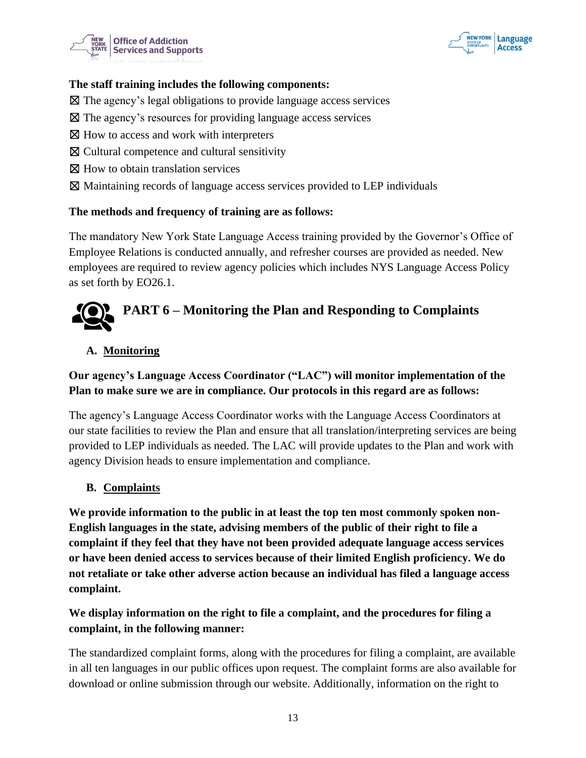



#### **The staff training includes the following components:**

- $\boxtimes$  The agency's legal obligations to provide language access services
- ☒ The agency's resources for providing language access services
- $\boxtimes$  How to access and work with interpreters
- ☒ Cultural competence and cultural sensitivity
- ⊠ How to obtain translation services
- ☒ Maintaining records of language access services provided to LEP individuals

#### **The methods and frequency of training are as follows:**

The mandatory New York State Language Access training provided by the Governor's Office of Employee Relations is conducted annually, and refresher courses are provided as needed. New employees are required to review agency policies which includes NYS Language Access Policy as set forth by EO26.1.

# <span id="page-12-0"></span>**PART 6 – Monitoring the Plan and Responding to Complaints**

#### **A. Monitoring**

# **Our agency's Language Access Coordinator ("LAC") will monitor implementation of the Plan to make sure we are in compliance. Our protocols in this regard are as follows:**

The agency's Language Access Coordinator works with the Language Access Coordinators at our state facilities to review the Plan and ensure that all translation/interpreting services are being provided to LEP individuals as needed. The LAC will provide updates to the Plan and work with agency Division heads to ensure implementation and compliance.

#### **B. Complaints**

**We provide information to the public in at least the top ten most commonly spoken non-English languages in the state, advising members of the public of their right to file a complaint if they feel that they have not been provided adequate language access services or have been denied access to services because of their limited English proficiency. We do not retaliate or take other adverse action because an individual has filed a language access complaint.** 

# **We display information on the right to file a complaint, and the procedures for filing a complaint, in the following manner:**

The standardized complaint forms, along with the procedures for filing a complaint, are available in all ten languages in our public offices upon request. The complaint forms are also available for download or online submission through our website. Additionally, information on the right to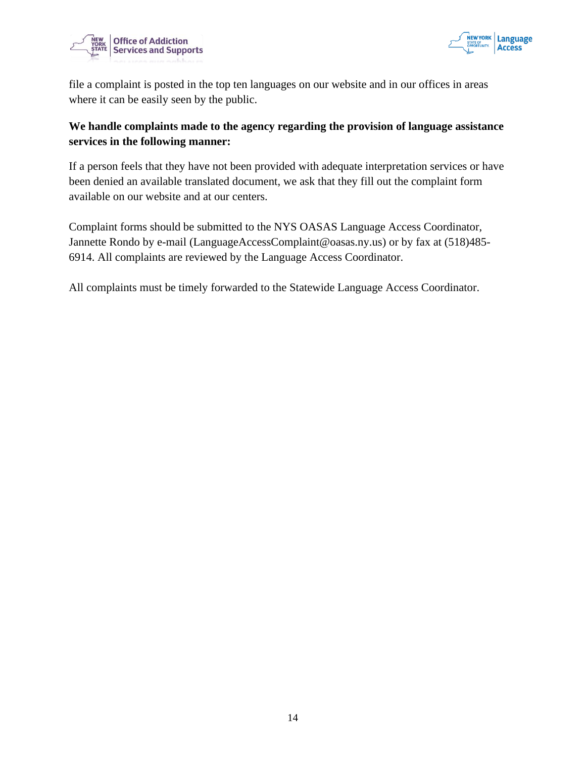



file a complaint is posted in the top ten languages on our website and in our offices in areas where it can be easily seen by the public.

# **We handle complaints made to the agency regarding the provision of language assistance services in the following manner:**

If a person feels that they have not been provided with adequate interpretation services or have been denied an available translated document, we ask that they fill out the complaint form available on our website and at our centers.

Complaint forms should be submitted to the NYS OASAS Language Access Coordinator, Jannette Rondo by e-mail (LanguageAccessComplaint@oasas.ny.us) or by fax at (518)485- 6914. All complaints are reviewed by the Language Access Coordinator.

<span id="page-13-0"></span>All complaints must be timely forwarded to the Statewide Language Access Coordinator.